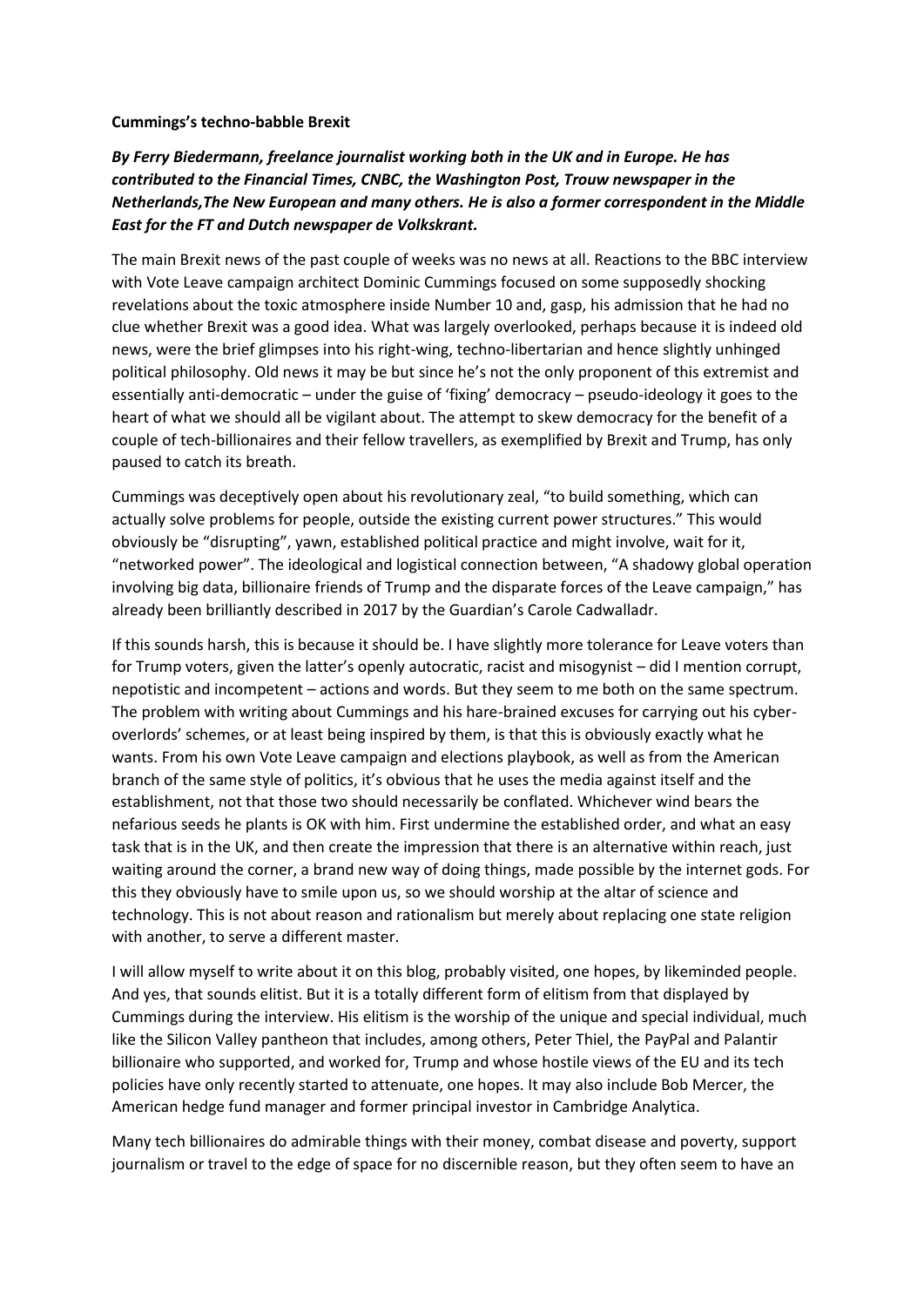## **Cummings's techno-babble Brexit**

## *By Ferry Biedermann, freelance journalist working both in the UK and in Europe. He has contributed to the Financial Times, CNBC, the Washington Post, Trouw newspaper in the Netherlands,The New European and many others. He is also a former correspondent in the Middle East for the FT and Dutch newspaper de Volkskrant.*

The main Brexit news of the past couple of weeks was no news at all. Reactions to the BBC interview with Vote Leave campaign architect Dominic Cummings focused on some supposedly shocking revelations about the toxic atmosphere inside Number 10 and, gasp, his admission that he had no clue whether Brexit was a good idea. What was largely overlooked, perhaps because it is indeed old news, were the brief glimpses into his right-wing, techno-libertarian and hence slightly unhinged political philosophy. Old news it may be but since he's not the only proponent of this extremist and essentially anti-democratic – under the guise of 'fixing' democracy – pseudo-ideology it goes to the heart of what we should all be vigilant about. The attempt to skew democracy for the benefit of a couple of tech-billionaires and their fellow travellers, as exemplified by Brexit and Trump, has only paused to catch its breath.

Cummings was deceptively open about his revolutionary zeal, "to build something, which can actually solve problems for people, outside the existing current power structures." This would obviously be "disrupting", yawn, established political practice and might involve, wait for it, "networked power". The ideological and logistical connection between, "A shadowy global operation involving big data, billionaire friends of Trump and the disparate forces of the Leave campaign," has already been brilliantly described in 2017 by the Guardian's Carole Cadwalladr.

If this sounds harsh, this is because it should be. I have slightly more tolerance for Leave voters than for Trump voters, given the latter's openly autocratic, racist and misogynist – did I mention corrupt, nepotistic and incompetent – actions and words. But they seem to me both on the same spectrum. The problem with writing about Cummings and his hare-brained excuses for carrying out his cyberoverlords' schemes, or at least being inspired by them, is that this is obviously exactly what he wants. From his own Vote Leave campaign and elections playbook, as well as from the American branch of the same style of politics, it's obvious that he uses the media against itself and the establishment, not that those two should necessarily be conflated. Whichever wind bears the nefarious seeds he plants is OK with him. First undermine the established order, and what an easy task that is in the UK, and then create the impression that there is an alternative within reach, just waiting around the corner, a brand new way of doing things, made possible by the internet gods. For this they obviously have to smile upon us, so we should worship at the altar of science and technology. This is not about reason and rationalism but merely about replacing one state religion with another, to serve a different master.

I will allow myself to write about it on this blog, probably visited, one hopes, by likeminded people. And yes, that sounds elitist. But it is a totally different form of elitism from that displayed by Cummings during the interview. His elitism is the worship of the unique and special individual, much like the Silicon Valley pantheon that includes, among others, Peter Thiel, the PayPal and Palantir billionaire who supported, and worked for, Trump and whose hostile views of the EU and its tech policies have only recently started to attenuate, one hopes. It may also include Bob Mercer, the American hedge fund manager and former principal investor in Cambridge Analytica.

Many tech billionaires do admirable things with their money, combat disease and poverty, support journalism or travel to the edge of space for no discernible reason, but they often seem to have an